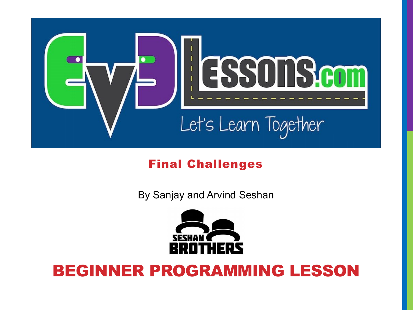

#### Final Challenges

By Sanjay and Arvind Seshan



#### BEGINNER PROGRAMMING LESSON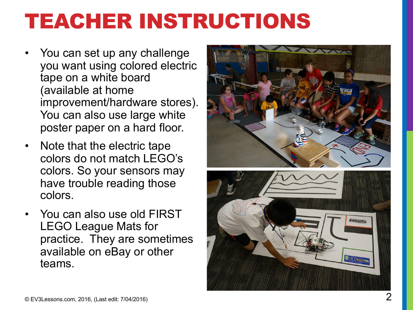# TEACHER INSTRUCTIONS

- You can set up any challenge you want using colored electric tape on a white board (available at home improvement/hardware stores). You can also use large white poster paper on a hard floor.
- Note that the electric tape colors do not match LEGO's colors. So your sensors may have trouble reading those colors.
- You can also use old FIRST LEGO League Mats for practice. They are sometimes available on eBay or other teams.

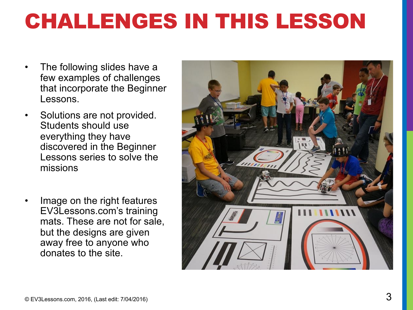# CHALLENGES IN THIS LESSON

- The following slides have a few examples of challenges that incorporate the Beginner Lessons.
- Solutions are not provided. Students should use everything they have discovered in the Beginner Lessons series to solve the missions
- Image on the right features EV3Lessons.com's training mats. These are not for sale, but the designs are given away free to anyone who donates to the site.

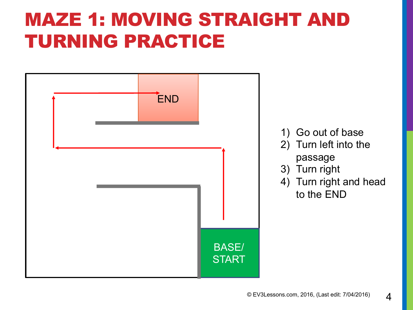#### MAZE 1: MOVING STRAIGHT AND TURNING PRACTICE

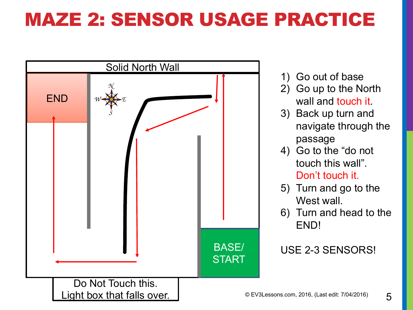### MAZE 2: SENSOR USAGE PRACTICE



- 1) Go out of base
- 2) Go up to the North wall and touch it.
- 3) Back up turn and navigate through the passage
- 4) Go to the "do not touch this wall". Don't touch it.
- 5) Turn and go to the West wall.
- 6) Turn and head to the END!

USE 2-3 SENSORS!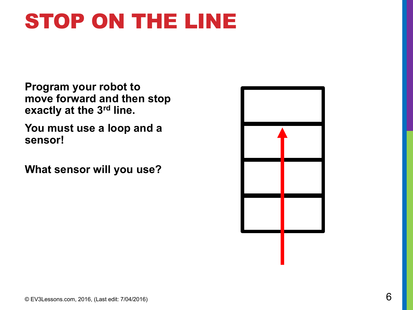# STOP ON THE LINE

**Program your robot to move forward and then stop exactly at the 3rd line.**

**You must use a loop and a sensor!**

**What sensor will you use?**